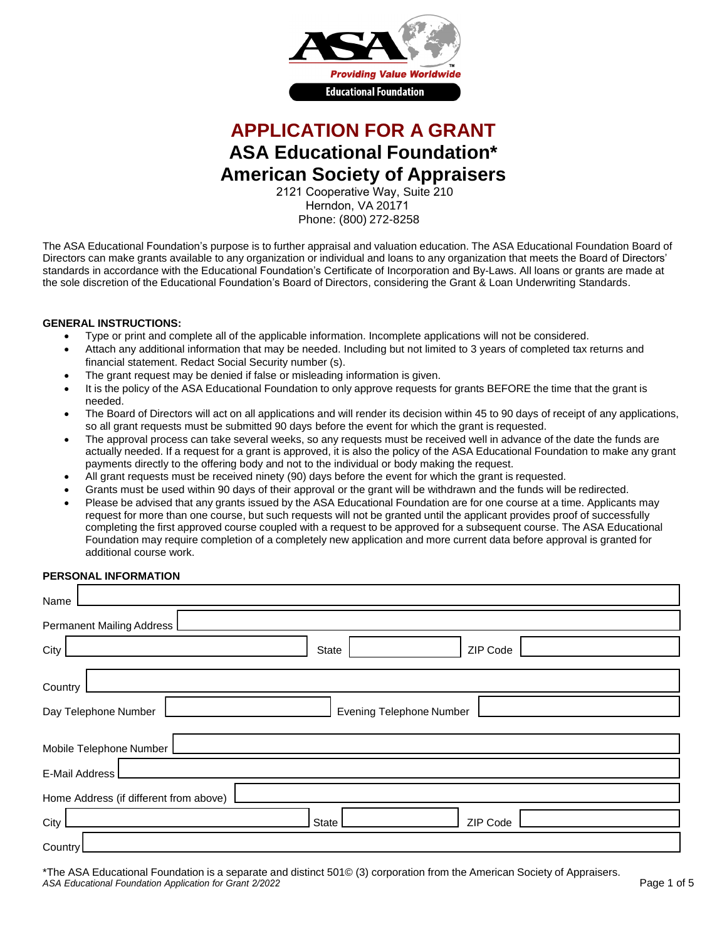

# **APPLICATION FOR A GRANT ASA Educational Foundation\* American Society of Appraisers**

2121 Cooperative Way, Suite 210 Herndon, VA 20171 Phone: (800) 272-8258

The ASA Educational Foundation's purpose is to further appraisal and valuation education. The ASA Educational Foundation Board of Directors can make grants available to any organization or individual and loans to any organization that meets the Board of Directors' standards in accordance with the Educational Foundation's Certificate of Incorporation and By-Laws. All loans or grants are made at the sole discretion of the Educational Foundation's Board of Directors, considering the Grant & Loan Underwriting Standards.

## **GENERAL INSTRUCTIONS:**

- Type or print and complete all of the applicable information. Incomplete applications will not be considered.
- Attach any additional information that may be needed. Including but not limited to 3 years of completed tax returns and financial statement. Redact Social Security number (s).
- The grant request may be denied if false or misleading information is given.
- It is the policy of the ASA Educational Foundation to only approve requests for grants BEFORE the time that the grant is needed.
- The Board of Directors will act on all applications and will render its decision within 45 to 90 days of receipt of any applications, so all grant requests must be submitted 90 days before the event for which the grant is requested.
- The approval process can take several weeks, so any requests must be received well in advance of the date the funds are actually needed. If a request for a grant is approved, it is also the policy of the ASA Educational Foundation to make any grant payments directly to the offering body and not to the individual or body making the request.
- All grant requests must be received ninety (90) days before the event for which the grant is requested.
- Grants must be used within 90 days of their approval or the grant will be withdrawn and the funds will be redirected.
- Please be advised that any grants issued by the ASA Educational Foundation are for one course at a time. Applicants may request for more than one course, but such requests will not be granted until the applicant provides proof of successfully completing the first approved course coupled with a request to be approved for a subsequent course. The ASA Educational Foundation may require completion of a completely new application and more current data before approval is granted for additional course work.

# **PERSONAL INFORMATION**

| Name                                   |                                 |
|----------------------------------------|---------------------------------|
| Permanent Mailing Address              |                                 |
| City                                   | ZIP Code<br>State               |
| Country                                |                                 |
| Day Telephone Number                   | <b>Evening Telephone Number</b> |
| Mobile Telephone Number                |                                 |
| E-Mail Address                         |                                 |
| Home Address (if different from above) |                                 |
| City                                   | ZIP Code<br>State               |
| Country                                |                                 |

\*The ASA Educational Foundation is a separate and distinct 501© (3) corporation from the American Society of Appraisers. *ASA Educational Foundation Application for Grant 2/2022*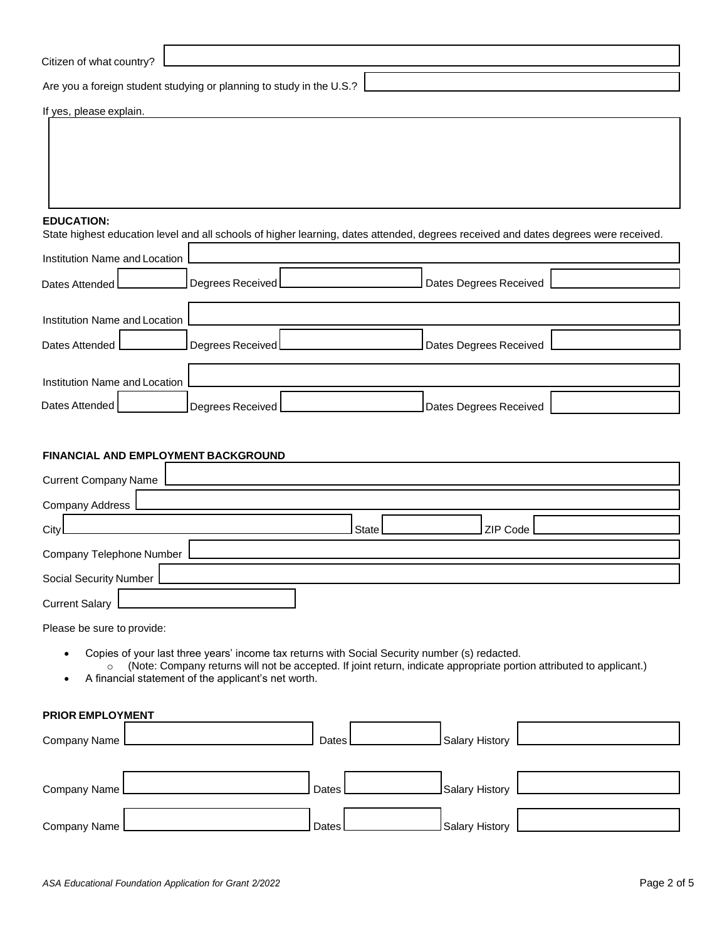#### **EDUCATION:**

State highest education level and all schools of higher learning, dates attended, degrees received and dates degrees were received.

| Institution Name and Location |                              |                        |  |
|-------------------------------|------------------------------|------------------------|--|
| Dates Attended L              | Degrees Received $\mathsf L$ | Dates Degrees Received |  |
| Institution Name and Location |                              |                        |  |
| Dates Attended                | Degrees Received             | Dates Degrees Received |  |
| Institution Name and Location |                              |                        |  |
| Dates Attended                | Degrees Received             | Dates Degrees Received |  |

# **FINANCIAL AND EMPLOYMENT BACKGROUND**

| <b>Current Company Name</b> |                                |
|-----------------------------|--------------------------------|
| Company Address             |                                |
| City                        | ZIP Code<br>State <sup>[</sup> |
| Company Telephone Number    |                                |
| Social Security Number      |                                |
| <b>Current Salary</b>       |                                |

Please be sure to provide:

- Copies of your last three years' income tax returns with Social Security number (s) redacted.
- o (Note: Company returns will not be accepted. If joint return, indicate appropriate portion attributed to applicant.)
- A financial statement of the applicant's net worth.

**PRIOR EMPLOYMENT**

| Company Name | Dates     | Salary History |  |
|--------------|-----------|----------------|--|
|              |           |                |  |
| Company Name | Dates I   | Salary History |  |
| Company Name | l Dates l | Salary History |  |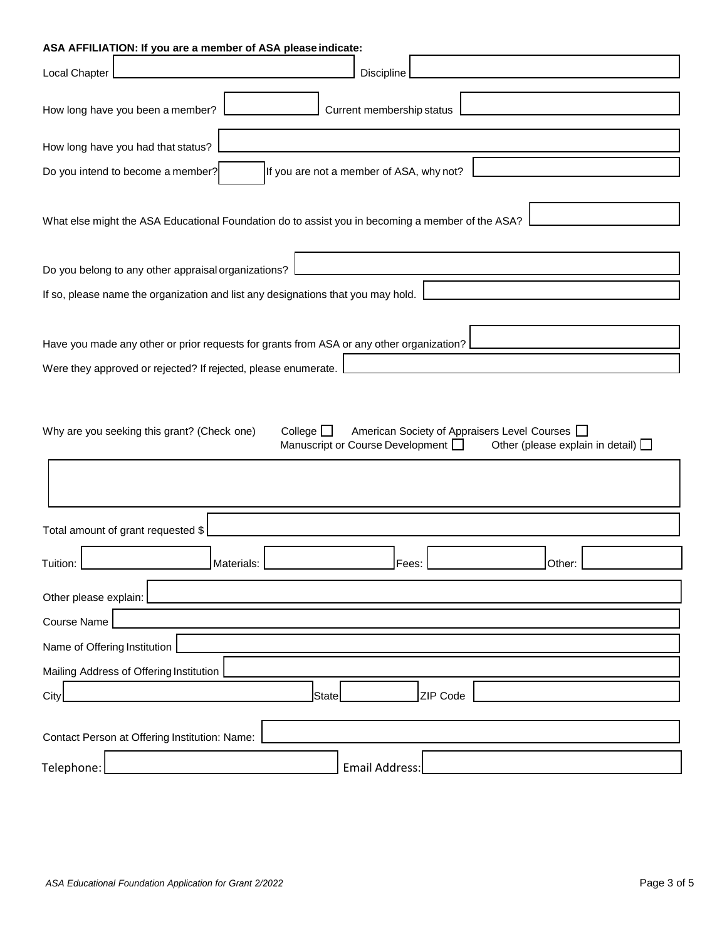| ASA AFFILIATION: If you are a member of ASA please indicate:                                                                                                                                      |  |  |  |  |
|---------------------------------------------------------------------------------------------------------------------------------------------------------------------------------------------------|--|--|--|--|
| Local Chapter<br>Discipline                                                                                                                                                                       |  |  |  |  |
| Current membership status<br>How long have you been a member?                                                                                                                                     |  |  |  |  |
| How long have you had that status?                                                                                                                                                                |  |  |  |  |
| Do you intend to become a member?<br>If you are not a member of ASA, why not?                                                                                                                     |  |  |  |  |
| What else might the ASA Educational Foundation do to assist you in becoming a member of the ASA?                                                                                                  |  |  |  |  |
| Do you belong to any other appraisal organizations?                                                                                                                                               |  |  |  |  |
| If so, please name the organization and list any designations that you may hold.                                                                                                                  |  |  |  |  |
| Have you made any other or prior requests for grants from ASA or any other organization?<br>Were they approved or rejected? If rejected, please enumerate.                                        |  |  |  |  |
| Why are you seeking this grant? (Check one)<br>College $\square$<br>American Society of Appraisers Level Courses<br>Manuscript or Course Development D<br>Other (please explain in detail) $\Box$ |  |  |  |  |
| Total amount of grant requested \$                                                                                                                                                                |  |  |  |  |
| Fees:<br>Tuition:<br>Materials:<br>Other:                                                                                                                                                         |  |  |  |  |
| Other please explain:                                                                                                                                                                             |  |  |  |  |
| <b>Course Name</b>                                                                                                                                                                                |  |  |  |  |
| Name of Offering Institution                                                                                                                                                                      |  |  |  |  |
| Mailing Address of Offering Institution                                                                                                                                                           |  |  |  |  |
| ZIP Code<br><b>State</b><br>City                                                                                                                                                                  |  |  |  |  |
| Contact Person at Offering Institution: Name:                                                                                                                                                     |  |  |  |  |
| <b>Email Address:</b><br>Telephone:                                                                                                                                                               |  |  |  |  |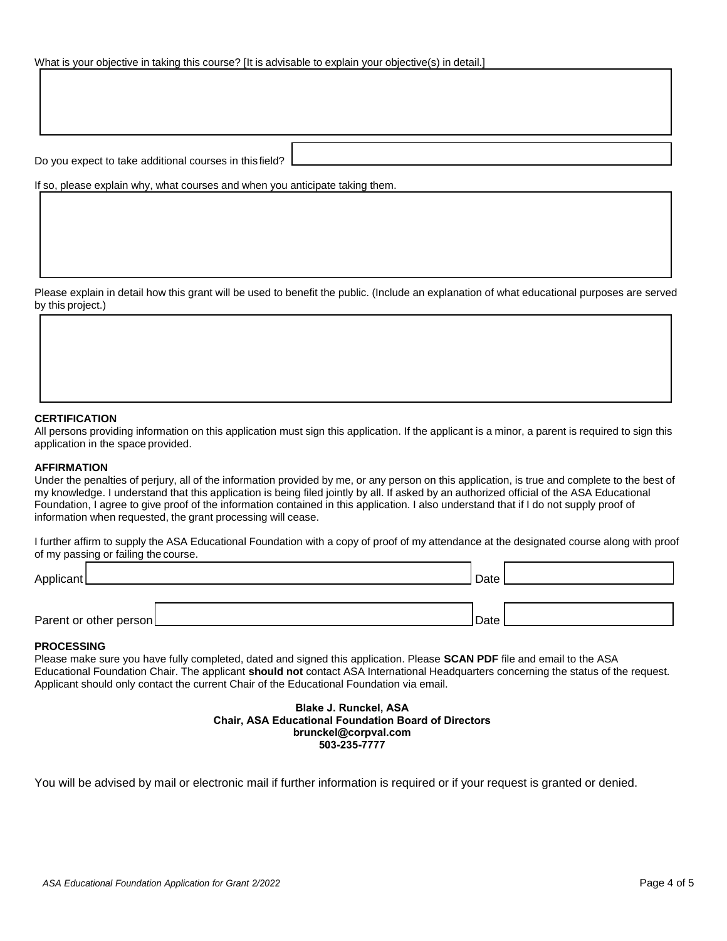Do you expect to take additional courses in this field?

If so, please explain why, what courses and when you anticipate taking them.

Please explain in detail how this grant will be used to benefit the public. (Include an explanation of what educational purposes are served by this project.)

## **CERTIFICATION**

All persons providing information on this application must sign this application. If the applicant is a minor, a parent is required to sign this application in the space provided.

#### **AFFIRMATION**

Under the penalties of perjury, all of the information provided by me, or any person on this application, is true and complete to the best of my knowledge. I understand that this application is being filed jointly by all. If asked by an authorized official of the ASA Educational Foundation, I agree to give proof of the information contained in this application. I also understand that if I do not supply proof of information when requested, the grant processing will cease.

I further affirm to supply the ASA Educational Foundation with a copy of proof of my attendance at the designated course along with proof of my passing or failing the course.

| Applicant              | Date |  |
|------------------------|------|--|
|                        |      |  |
| Parent or other person | Date |  |

### **PROCESSING**

Please make sure you have fully completed, dated and signed this application. Please **SCAN PDF** file and email to the ASA Educational Foundation Chair. The applicant **should not** contact ASA International Headquarters concerning the status of the request. Applicant should only contact the current Chair of the Educational Foundation via email.

> **Blake J. Runckel, ASA Chair, ASA Educational Foundation Board of Directors brunckel@corpval.com 503-235-7777**

You will be advised by mail or electronic mail if further information is required or if your request is granted or denied.